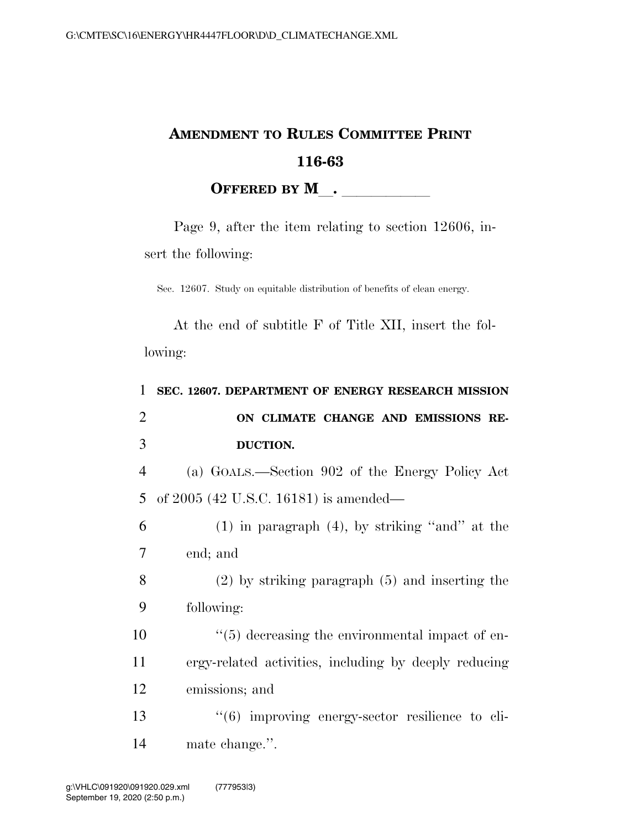## **AMENDMENT TO RULES COMMITTEE PRINT 116-63 OFFERED BY M** .

Page 9, after the item relating to section 12606, insert the following:

Sec. 12607. Study on equitable distribution of benefits of clean energy.

At the end of subtitle F of Title XII, insert the following:

| 1              | SEC. 12607. DEPARTMENT OF ENERGY RESEARCH MISSION               |
|----------------|-----------------------------------------------------------------|
| $\overline{2}$ | ON CLIMATE CHANGE AND EMISSIONS RE-                             |
| 3              | DUCTION.                                                        |
| 4              | (a) GOALS.—Section 902 of the Energy Policy Act                 |
| 5              | of $2005$ (42 U.S.C. 16181) is amended—                         |
| 6              | $(1)$ in paragraph $(4)$ , by striking "and" at the             |
| 7              | end; and                                                        |
| 8              | $(2)$ by striking paragraph $(5)$ and inserting the             |
| 9              | following:                                                      |
| 10             | $\lq(5)$ decreasing the environmental impact of en-             |
| 11             | ergy-related activities, including by deeply reducing           |
| 12             | emissions; and                                                  |
| 13             | $\cdot\cdot\cdot(6)$ improving energy-sector resilience to cli- |
| 14             | mate change.".                                                  |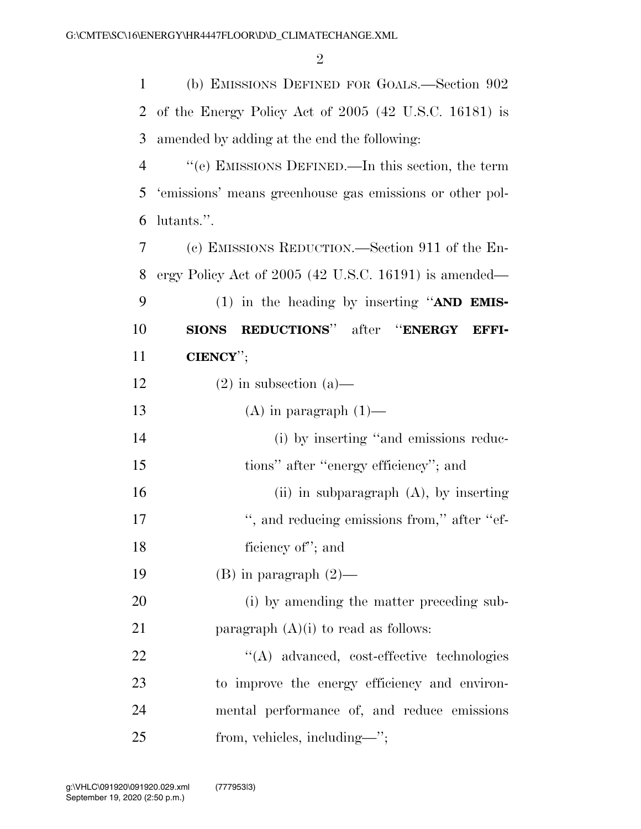$\mathfrak{D}$ 

 (b) EMISSIONS DEFINED FOR GOALS.—Section 902 of the Energy Policy Act of 2005 (42 U.S.C. 16181) is amended by adding at the end the following:

 ''(e) EMISSIONS DEFINED.—In this section, the term 'emissions' means greenhouse gas emissions or other pol-lutants.''.

 (c) EMISSIONS REDUCTION.—Section 911 of the En-ergy Policy Act of 2005 (42 U.S.C. 16191) is amended—

 (1) in the heading by inserting ''**AND EMIS- SIONS REDUCTIONS**'' after ''**ENERGY EFFI-CIENCY**'';

12 (2) in subsection (a)—

- 13 (A) in paragraph  $(1)$ —
- (i) by inserting ''and emissions reduc-

15 tions" after "energy efficiency"; and

 (ii) in subparagraph (A), by inserting 17  $\ldots$ , and reducing emissions from," after "ef-

ficiency of''; and

19  $(B)$  in paragraph  $(2)$ —

 (i) by amending the matter preceding sub-21 paragraph  $(A)(i)$  to read as follows:

22 "(A) advanced, cost-effective technologies to improve the energy efficiency and environ- mental performance of, and reduce emissions from, vehicles, including—'';